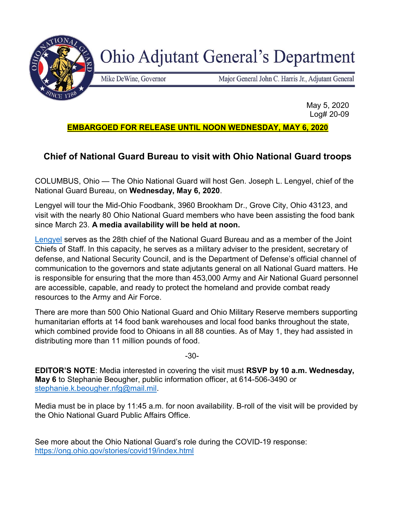

**Ohio Adjutant General's Department** 

Mike DeWine, Governor

Major General John C. Harris Jr., Adjutant General

 May 5, 2020 Log# 20-09

## EMBARGOED FOR RELEASE UNTIL NOON WEDNESDAY, MAY 6, 2020

## Chief of National Guard Bureau to visit with Ohio National Guard troops

COLUMBUS, Ohio — The Ohio National Guard will host Gen. Joseph L. Lengyel, chief of the National Guard Bureau, on Wednesday, May 6, 2020.

Lengyel will tour the Mid-Ohio Foodbank, 3960 Brookham Dr., Grove City, Ohio 43123, and visit with the nearly 80 Ohio National Guard members who have been assisting the food bank since March 23. A media availability will be held at noon.

Lengyel serves as the 28th chief of the National Guard Bureau and as a member of the Joint Chiefs of Staff. In this capacity, he serves as a military adviser to the president, secretary of defense, and National Security Council, and is the Department of Defense's official channel of communication to the governors and state adjutants general on all National Guard matters. He is responsible for ensuring that the more than 453,000 Army and Air National Guard personnel are accessible, capable, and ready to protect the homeland and provide combat ready resources to the Army and Air Force.

There are more than 500 Ohio National Guard and Ohio Military Reserve members supporting humanitarian efforts at 14 food bank warehouses and local food banks throughout the state, which combined provide food to Ohioans in all 88 counties. As of May 1, they had assisted in distributing more than 11 million pounds of food.

-30-

EDITOR'S NOTE: Media interested in covering the visit must RSVP by 10 a.m. Wednesday, May 6 to Stephanie Beougher, public information officer, at 614-506-3490 or stephanie.k.beougher.nfg@mail.mil.

Media must be in place by 11:45 a.m. for noon availability. B-roll of the visit will be provided by the Ohio National Guard Public Affairs Office.

See more about the Ohio National Guard's role during the COVID-19 response: https://ong.ohio.gov/stories/covid19/index.html